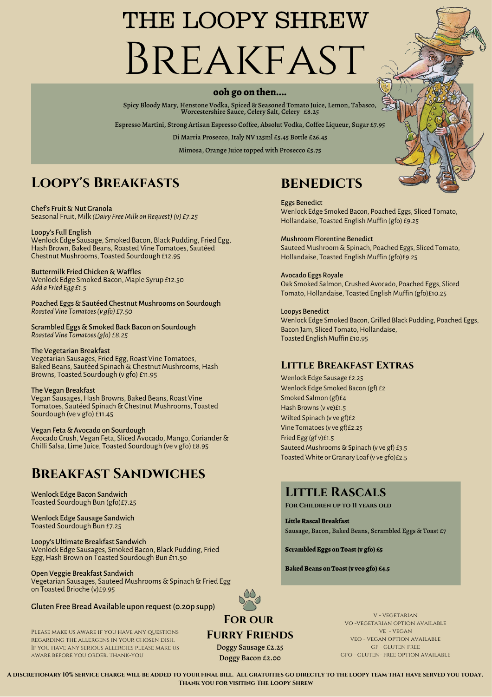# THE LOOPY SHREW Breakfast

#### **ooh go on then....**

Spicy Bloody Mary, Henstone Vodka, Spiced & Seasoned Tomato Juice, Lemon, Tabasco, Worcestershire Sauce, Celery Salt, Celery £8.25

Espresso Martini, Strong Artisan Espresso Coffee, Absolut Vodka, Coffee Liqueur, Sugar £7.95

Di Marria Prosecco, Italy NV 125ml £5.45 Bottle £26.45

Mimosa, Orange Juice topped with Prosecco £5.75

### **Loopy's Breakfasts**

Chef's Fruit & Nut Granola Seasonal Fruit, Milk *(Dairy FreeMilk on Request)(v) £7.25*

Loopy's Full English Wenlock Edge Sausage, Smoked Bacon, Black Pudding, Fried Egg, Hash Brown, Baked Beans, Roasted Vine Tomatoes, Sautéed Chestnut Mushrooms, Toasted Sourdough £12.95

Buttermilk Fried Chicken & Waffles Wenlock Edge Smoked Bacon, Maple Syrup £12.50 *Add a Fried Egg £1.5*

Poached Eggs & Sautéed Chestnut Mushrooms on Sourdough *Roasted Vine Tomatoes(v gfo) £7.50*

Scrambled Eggs & Smoked Back Bacon on Sourdough *Roasted Vine Tomatoes(gfo) £8.25*

#### The Vegetarian Breakfast

Vegetarian Sausages, Fried Egg, Roast Vine Tomatoes, Baked Beans, Sautéed Spinach & Chestnut Mushrooms, Hash Browns, Toasted Sourdough (v gfo) £11.95

#### The Vegan Breakfast

Vegan Sausages, Hash Browns, Baked Beans, Roast Vine Tomatoes, Sautéed Spinach & Chestnut Mushrooms, Toasted Sourdough (ve v gfo) £11.45

#### Vegan Feta & Avocado on Sourdough

Avocado Crush, Vegan Feta, Sliced Avocado, Mango, Coriander& Chilli Salsa, Lime Juice, Toasted Sourdough (ve v gfo) £8.95

### **Breakfast Sandwiches**

Wenlock Edge Bacon Sandwich Toasted Sourdough Bun (gfo)£7.25

Wenlock Edge Sausage Sandwich Toasted Sourdough Bun £7.25

Loopy's Ultimate Breakfast Sandwich Wenlock Edge Sausages, Smoked Bacon, Black Pudding, Fried Egg,Hash Brown on Toasted Sourdough Bun £11.50

#### Open Veggie Breakfast Sandwich

Vegetarian Sausages, Sauteed Mushrooms & Spinach & Fried Egg on Toasted Brioche (v)£9.95

#### Gluten Free Bread Available upon request(0.20p supp)

Please make us aware if you have any questions regarding the allergens in your chosen dish. If you have any serious allergies please make us aware before you order. Thank-you

### **BENEDICTS**

Eggs Benedict Wenlock Edge Smoked Bacon, Poached Eggs, Sliced Tomato, Hollandaise, Toasted English Muffin (gfo) £9.25

Mushroom Florentine Benedict Sauteed Mushroom & Spinach, Poached Eggs, Sliced Tomato, Hollandaise, Toasted English Muffin (gfo)£9.25

Avocado Eggs Royale Oak Smoked Salmon, Crushed Avocado, Poached Eggs, Sliced Tomato, Hollandaise, Toasted English Muffin (gfo)£10.25

Loopys Benedict Wenlock Edge Smoked Bacon, Grilled Black Pudding, Poached Eggs, Bacon Jam, Sliced Tomato, Hollandaise, Toasted English Muffin £10.95

#### **Little Breakfast Extras**

Wenlock Edge Sausage £2.25 Wenlock Edge Smoked Bacon (gf) £2 Smoked Salmon (gf)£4 Hash Browns (v ve)£1.5 Wilted Spinach (v ve gf)£2 Vine Tomatoes(v ve gf)£2.25 Fried Egg (gf v)£1.5 Sauteed Mushrooms & Spinach (v ve gf) £3.5 Toasted White or Granary Loaf (v ve gfo)£2.5

### **Little Rascals**

**For Children up to 11 years old**

**Little Rascal Breakfast** Sausage, Bacon, Baked Beans, Scrambled Eggs & Toast £7

**Scrambled Eggs on Toast(v gfo) £5**

**BakedBeans on Toast(v veo gfo) £4.5**



### **Furry Friends**

Doggy Sausage £2.25 Doggy Bacon £2.00

v - vegetarian vo -vegetarian option available ve - vegan veo - vegan option available gf - gluten free gfo - gluten- free option available

A DISCRETIONARY 10% SERVICE CHARGE WILL BE ADDED TO YOUR FINAL BILL. ALL GRATUITIES GO DIRECTLY TO THE LOOPY TEAM THAT HAVE SERVED YOU TODAY. **Thank you for visiting The Loopy Shrew**